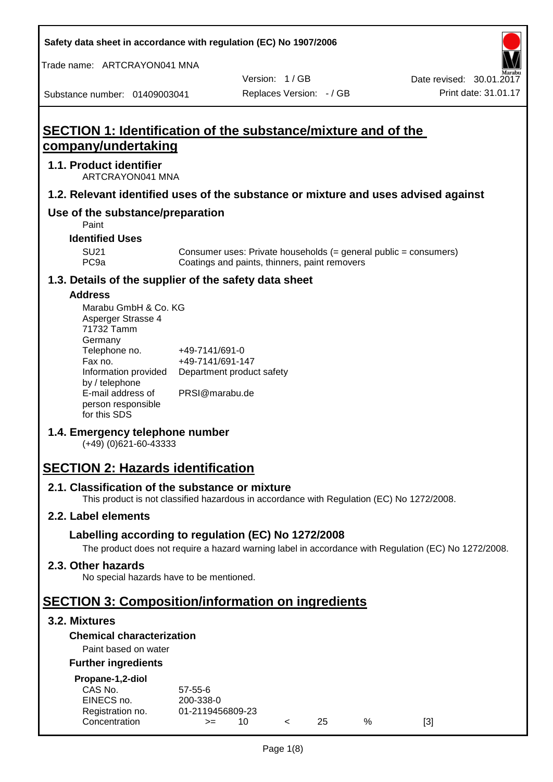**Safety data sheet in accordance with regulation (EC) No 1907/2006**

Trade name: ARTCRAYON041 MNA

Version: 1 / GB

Substance number: 01409003041

# **SECTION 1: Identification of the substance/mixture and of the company/undertaking**

#### **1.1. Product identifier**

ARTCRAYON041 MNA

#### **1.2. Relevant identified uses of the substance or mixture and uses advised against**

# **Use of the substance/preparation**

Paint

**Identified Uses**

SU21 Consumer uses: Private households (= general public = consumers)<br>PC9a Coatings and paints, thinners, paint removers Coatings and paints, thinners, paint removers

#### **1.3. Details of the supplier of the safety data sheet**

#### **Address**

| Marabu GmbH & Co. KG |                           |
|----------------------|---------------------------|
| Asperger Strasse 4   |                           |
| 71732 Tamm           |                           |
| Germany              |                           |
| Telephone no.        | +49-7141/691-0            |
| Fax no.              | +49-7141/691-147          |
| Information provided | Department product safety |
| by / telephone       |                           |
| E-mail address of    | PRSI@marabu.de            |
| person responsible   |                           |
| for this SDS         |                           |

## **1.4. Emergency telephone number**

(+49) (0)621-60-43333

# **SECTION 2: Hazards identification**

#### **2.1. Classification of the substance or mixture**

This product is not classified hazardous in accordance with Regulation (EC) No 1272/2008.

## **2.2. Label elements**

## **Labelling according to regulation (EC) No 1272/2008**

The product does not require a hazard warning label in accordance with Regulation (EC) No 1272/2008.

#### **2.3. Other hazards**

No special hazards have to be mentioned.

# **SECTION 3: Composition/information on ingredients**

## **3.2. Mixtures**

## **Chemical characterization**

## Paint based on water

#### **Further ingredients**

| Propane-1,2-diol |  |
|------------------|--|

| CAS No.          | $57 - 55 - 6$    |  |     |   |     |
|------------------|------------------|--|-----|---|-----|
| EINECS no.       | 200-338-0        |  |     |   |     |
| Registration no. | 01-2119456809-23 |  |     |   |     |
| Concentration    | $>=$             |  | 25. | % | [3] |
|                  |                  |  |     |   |     |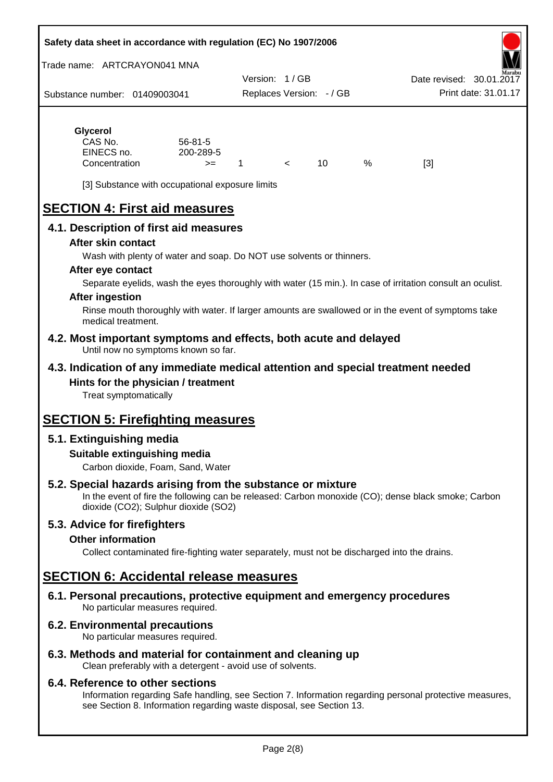#### **Safety data sheet in accordance with regulation (EC) No 1907/2006**

Trade name: ARTCRAYON041 MNA

Substance number: 01409003041 Version: 1 / GB Replaces Version: - / GB Print date: 31.01.17 Date revised: 30.01.2

# **Glycerol**

| CAS No.       | $56 - 81 - 5$ |  |   |     |
|---------------|---------------|--|---|-----|
| EINECS no.    | 200-289-5     |  |   |     |
| Concentration | $>=$          |  | % | [3] |

[3] Substance with occupational exposure limits

# **SECTION 4: First aid measures**

## **4.1. Description of first aid measures**

#### **After skin contact**

Wash with plenty of water and soap. Do NOT use solvents or thinners.

#### **After eye contact**

Separate eyelids, wash the eyes thoroughly with water (15 min.). In case of irritation consult an oculist.

#### **After ingestion**

Rinse mouth thoroughly with water. If larger amounts are swallowed or in the event of symptoms take medical treatment.

#### **4.2. Most important symptoms and effects, both acute and delayed** Until now no symptoms known so far.

## **4.3. Indication of any immediate medical attention and special treatment needed Hints for the physician / treatment**

Treat symptomatically

# **SECTION 5: Firefighting measures**

## **5.1. Extinguishing media**

## **Suitable extinguishing media**

Carbon dioxide, Foam, Sand, Water

# **5.2. Special hazards arising from the substance or mixture**

In the event of fire the following can be released: Carbon monoxide (CO); dense black smoke; Carbon dioxide (CO2); Sulphur dioxide (SO2)

## **5.3. Advice for firefighters**

#### **Other information**

Collect contaminated fire-fighting water separately, must not be discharged into the drains.

# **SECTION 6: Accidental release measures**

**6.1. Personal precautions, protective equipment and emergency procedures** No particular measures required.

## **6.2. Environmental precautions**

No particular measures required.

## **6.3. Methods and material for containment and cleaning up**

Clean preferably with a detergent - avoid use of solvents.

#### **6.4. Reference to other sections**

Information regarding Safe handling, see Section 7. Information regarding personal protective measures, see Section 8. Information regarding waste disposal, see Section 13.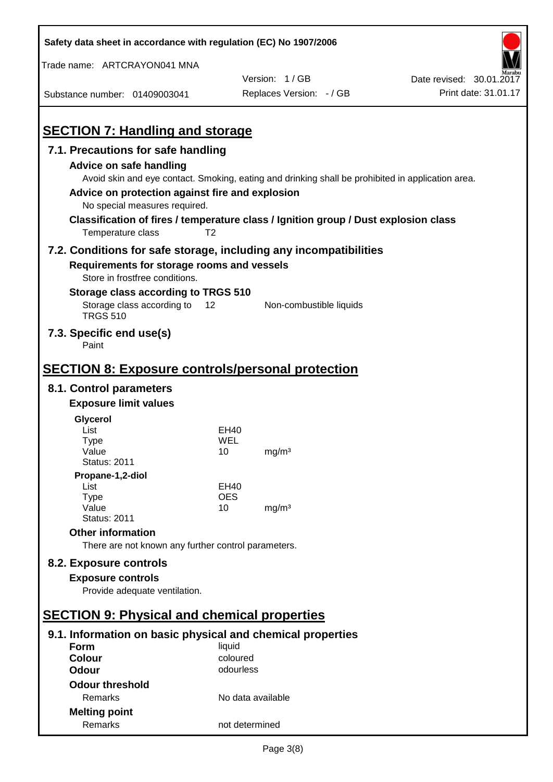| Safety data sheet in accordance with regulation (EC) No 1907/2006                                                                   |                    |                          |                          |
|-------------------------------------------------------------------------------------------------------------------------------------|--------------------|--------------------------|--------------------------|
| Trade name: ARTCRAYON041 MNA                                                                                                        |                    |                          |                          |
|                                                                                                                                     |                    | Version: 1/GB            | Date revised: 30.01.2017 |
| Substance number: 01409003041                                                                                                       |                    | Replaces Version: - / GB | Print date: 31.01.17     |
| <b>SECTION 7: Handling and storage</b>                                                                                              |                    |                          |                          |
|                                                                                                                                     |                    |                          |                          |
| 7.1. Precautions for safe handling                                                                                                  |                    |                          |                          |
| <b>Advice on safe handling</b><br>Avoid skin and eye contact. Smoking, eating and drinking shall be prohibited in application area. |                    |                          |                          |
| Advice on protection against fire and explosion                                                                                     |                    |                          |                          |
| No special measures required.                                                                                                       |                    |                          |                          |
| Classification of fires / temperature class / Ignition group / Dust explosion class                                                 |                    |                          |                          |
| Temperature class                                                                                                                   | T <sub>2</sub>     |                          |                          |
| 7.2. Conditions for safe storage, including any incompatibilities                                                                   |                    |                          |                          |
| Requirements for storage rooms and vessels                                                                                          |                    |                          |                          |
| Store in frostfree conditions.                                                                                                      |                    |                          |                          |
| Storage class according to TRGS 510                                                                                                 |                    |                          |                          |
| Storage class according to<br><b>TRGS 510</b>                                                                                       | 12                 | Non-combustible liquids  |                          |
| 7.3. Specific end use(s)<br>Paint                                                                                                   |                    |                          |                          |
|                                                                                                                                     |                    |                          |                          |
| <b>SECTION 8: Exposure controls/personal protection</b>                                                                             |                    |                          |                          |
| 8.1. Control parameters                                                                                                             |                    |                          |                          |
| <b>Exposure limit values</b>                                                                                                        |                    |                          |                          |
| Glycerol                                                                                                                            |                    |                          |                          |
| List                                                                                                                                | EH40               |                          |                          |
| <b>Type</b><br>Value                                                                                                                | WEL<br>10          | mg/m <sup>3</sup>        |                          |
| <b>Status: 2011</b>                                                                                                                 |                    |                          |                          |
| Propane-1,2-diol                                                                                                                    |                    |                          |                          |
| List                                                                                                                                | EH40               |                          |                          |
| <b>Type</b><br>Value                                                                                                                | <b>OES</b><br>10   | mg/m <sup>3</sup>        |                          |
| <b>Status: 2011</b>                                                                                                                 |                    |                          |                          |
| <b>Other information</b>                                                                                                            |                    |                          |                          |
| There are not known any further control parameters.                                                                                 |                    |                          |                          |
| 8.2. Exposure controls                                                                                                              |                    |                          |                          |
| <b>Exposure controls</b>                                                                                                            |                    |                          |                          |
| Provide adequate ventilation.                                                                                                       |                    |                          |                          |
| <b>SECTION 9: Physical and chemical properties</b>                                                                                  |                    |                          |                          |
|                                                                                                                                     |                    |                          |                          |
| 9.1. Information on basic physical and chemical properties                                                                          |                    |                          |                          |
| Form<br><b>Colour</b>                                                                                                               | liquid<br>coloured |                          |                          |
| <b>Odour</b>                                                                                                                        | odourless          |                          |                          |
| <b>Odour threshold</b>                                                                                                              |                    |                          |                          |
| Remarks                                                                                                                             | No data available  |                          |                          |
| <b>Melting point</b>                                                                                                                |                    |                          |                          |
| Remarks                                                                                                                             | not determined     |                          |                          |

 $\mathbf{r}$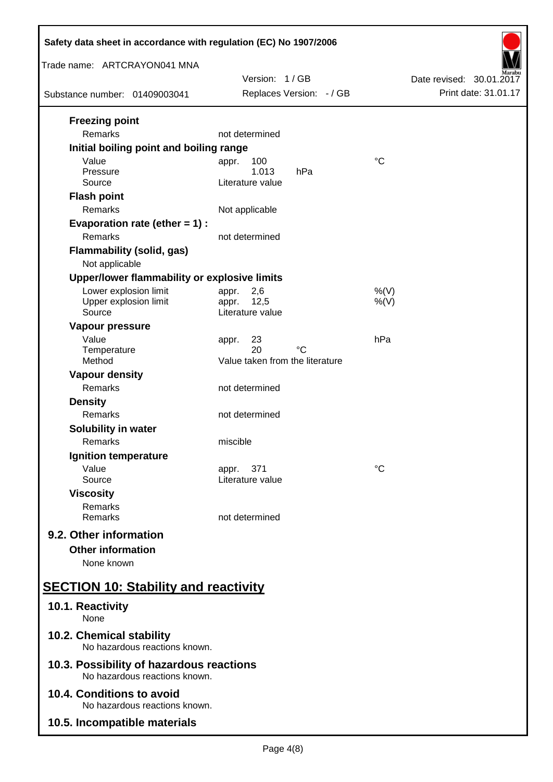| Safety data sheet in accordance with regulation (EC) No 1907/2006         |                                             |                          |
|---------------------------------------------------------------------------|---------------------------------------------|--------------------------|
| Trade name: ARTCRAYON041 MNA                                              | Version: 1/GB                               | Date revised: 30.01.2017 |
| Substance number: 01409003041                                             | Replaces Version: - / GB                    | Print date: 31.01.17     |
| <b>Freezing point</b>                                                     |                                             |                          |
| Remarks<br>Initial boiling point and boiling range                        | not determined                              |                          |
| Value                                                                     | 100<br>appr.                                | $\rm ^{\circ}C$          |
| Pressure                                                                  | 1.013<br>hPa                                |                          |
| Source                                                                    | Literature value                            |                          |
| <b>Flash point</b>                                                        |                                             |                          |
| Remarks                                                                   | Not applicable                              |                          |
| Evaporation rate (ether $= 1$ ) :<br>Remarks                              | not determined                              |                          |
| <b>Flammability (solid, gas)</b><br>Not applicable                        |                                             |                          |
| Upper/lower flammability or explosive limits                              |                                             |                          |
| Lower explosion limit                                                     | 2,6<br>appr.                                | $%$ (V)                  |
| Upper explosion limit<br>Source                                           | 12,5<br>appr.<br>Literature value           | $%$ (V)                  |
| Vapour pressure                                                           |                                             |                          |
| Value                                                                     | 23<br>appr.                                 | hPa                      |
| Temperature<br>Method                                                     | 20<br>°C<br>Value taken from the literature |                          |
| <b>Vapour density</b>                                                     |                                             |                          |
| Remarks                                                                   | not determined                              |                          |
| <b>Density</b>                                                            |                                             |                          |
| Remarks                                                                   | not determined                              |                          |
| <b>Solubility in water</b>                                                |                                             |                          |
| Remarks                                                                   | miscible                                    |                          |
| Ignition temperature<br>Value                                             | 371                                         | $^{\circ}C$              |
| Source                                                                    | appr.<br>Literature value                   |                          |
| <b>Viscosity</b>                                                          |                                             |                          |
| Remarks<br>Remarks                                                        | not determined                              |                          |
| 9.2. Other information                                                    |                                             |                          |
| <b>Other information</b>                                                  |                                             |                          |
| None known                                                                |                                             |                          |
| <b>SECTION 10: Stability and reactivity</b>                               |                                             |                          |
| 10.1. Reactivity<br>None                                                  |                                             |                          |
| 10.2. Chemical stability<br>No hazardous reactions known.                 |                                             |                          |
| 10.3. Possibility of hazardous reactions<br>No hazardous reactions known. |                                             |                          |
| 10.4. Conditions to avoid<br>No hazardous reactions known.                |                                             |                          |
| 10.5. Incompatible materials                                              |                                             |                          |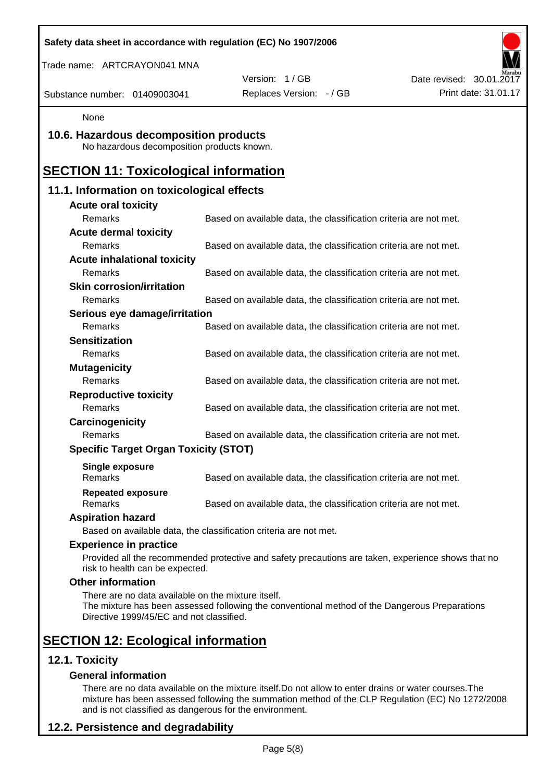|                                                                                                | Safety data sheet in accordance with regulation (EC) No 1907/2006                                  |                          |
|------------------------------------------------------------------------------------------------|----------------------------------------------------------------------------------------------------|--------------------------|
| Trade name: ARTCRAYON041 MNA                                                                   |                                                                                                    |                          |
|                                                                                                | Version: 1/GB                                                                                      | Date revised: 30.01.2017 |
| Substance number: 01409003041                                                                  | Replaces Version: - / GB                                                                           | Print date: 31.01.17     |
| None                                                                                           |                                                                                                    |                          |
| 10.6. Hazardous decomposition products<br>No hazardous decomposition products known.           |                                                                                                    |                          |
| <b>SECTION 11: Toxicological information</b>                                                   |                                                                                                    |                          |
| 11.1. Information on toxicological effects                                                     |                                                                                                    |                          |
| <b>Acute oral toxicity</b>                                                                     |                                                                                                    |                          |
| Remarks                                                                                        | Based on available data, the classification criteria are not met.                                  |                          |
| <b>Acute dermal toxicity</b>                                                                   |                                                                                                    |                          |
| Remarks                                                                                        | Based on available data, the classification criteria are not met.                                  |                          |
| <b>Acute inhalational toxicity</b>                                                             |                                                                                                    |                          |
| Remarks                                                                                        | Based on available data, the classification criteria are not met.                                  |                          |
| <b>Skin corrosion/irritation</b>                                                               |                                                                                                    |                          |
| Remarks                                                                                        | Based on available data, the classification criteria are not met.                                  |                          |
| Serious eye damage/irritation                                                                  |                                                                                                    |                          |
| Remarks                                                                                        | Based on available data, the classification criteria are not met.                                  |                          |
| <b>Sensitization</b>                                                                           |                                                                                                    |                          |
| Remarks                                                                                        | Based on available data, the classification criteria are not met.                                  |                          |
| <b>Mutagenicity</b>                                                                            |                                                                                                    |                          |
| Remarks                                                                                        | Based on available data, the classification criteria are not met.                                  |                          |
| <b>Reproductive toxicity</b>                                                                   |                                                                                                    |                          |
| Remarks                                                                                        | Based on available data, the classification criteria are not met.                                  |                          |
| Carcinogenicity                                                                                |                                                                                                    |                          |
| Remarks                                                                                        | Based on available data, the classification criteria are not met.                                  |                          |
| <b>Specific Target Organ Toxicity (STOT)</b>                                                   |                                                                                                    |                          |
| Single exposure<br><b>Remarks</b>                                                              | Based on available data, the classification criteria are not met.                                  |                          |
| <b>Repeated exposure</b><br>Remarks                                                            | Based on available data, the classification criteria are not met.                                  |                          |
| <b>Aspiration hazard</b>                                                                       |                                                                                                    |                          |
|                                                                                                | Based on available data, the classification criteria are not met.                                  |                          |
| <b>Experience in practice</b>                                                                  |                                                                                                    |                          |
| risk to health can be expected.                                                                | Provided all the recommended protective and safety precautions are taken, experience shows that no |                          |
| <b>Other information</b>                                                                       |                                                                                                    |                          |
| There are no data available on the mixture itself.<br>Directive 1999/45/EC and not classified. | The mixture has been assessed following the conventional method of the Dangerous Preparations      |                          |
| <b>SECTION 12: Ecological information</b>                                                      |                                                                                                    |                          |
| 12.1. Toxicity                                                                                 |                                                                                                    |                          |
| <b>General information</b>                                                                     |                                                                                                    |                          |

There are no data available on the mixture itself.Do not allow to enter drains or water courses.The mixture has been assessed following the summation method of the CLP Regulation (EC) No 1272/2008 and is not classified as dangerous for the environment.

# **12.2. Persistence and degradability**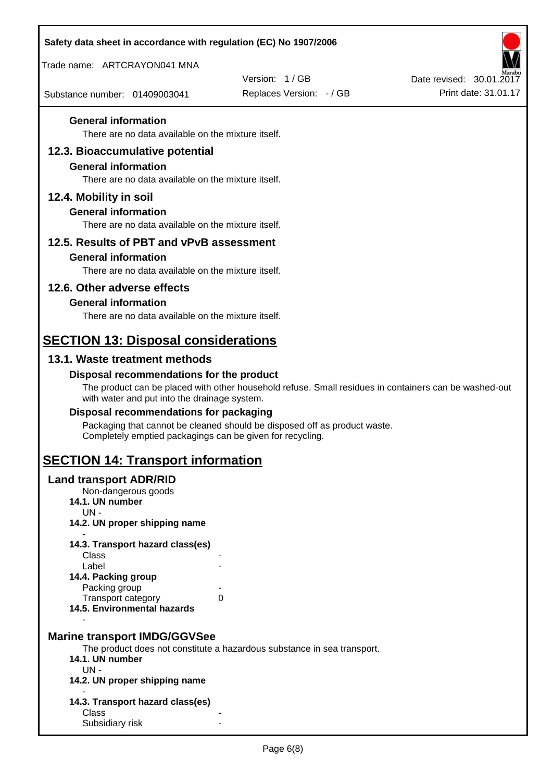| Safety data sheet in accordance with regulation (EC) No 1907/2006                                                   |                                                                                                       |                                                  |
|---------------------------------------------------------------------------------------------------------------------|-------------------------------------------------------------------------------------------------------|--------------------------------------------------|
| Trade name: ARTCRAYON041 MNA                                                                                        |                                                                                                       |                                                  |
| Substance number: 01409003041                                                                                       | Version: 1/GB<br>Replaces Version: - / GB                                                             | Date revised: 30.01.2017<br>Print date: 31.01.17 |
| <b>General information</b>                                                                                          |                                                                                                       |                                                  |
| There are no data available on the mixture itself.                                                                  |                                                                                                       |                                                  |
| 12.3. Bioaccumulative potential<br><b>General information</b><br>There are no data available on the mixture itself. |                                                                                                       |                                                  |
| 12.4. Mobility in soil                                                                                              |                                                                                                       |                                                  |
| <b>General information</b><br>There are no data available on the mixture itself.                                    |                                                                                                       |                                                  |
| 12.5. Results of PBT and vPvB assessment                                                                            |                                                                                                       |                                                  |
| <b>General information</b>                                                                                          |                                                                                                       |                                                  |
| There are no data available on the mixture itself.                                                                  |                                                                                                       |                                                  |
| 12.6. Other adverse effects                                                                                         |                                                                                                       |                                                  |
| <b>General information</b><br>There are no data available on the mixture itself.                                    |                                                                                                       |                                                  |
|                                                                                                                     |                                                                                                       |                                                  |
| <b>SECTION 13: Disposal considerations</b>                                                                          |                                                                                                       |                                                  |
| 13.1. Waste treatment methods                                                                                       |                                                                                                       |                                                  |
| Disposal recommendations for the product<br>with water and put into the drainage system.                            | The product can be placed with other household refuse. Small residues in containers can be washed-out |                                                  |
| Disposal recommendations for packaging                                                                              |                                                                                                       |                                                  |
| Completely emptied packagings can be given for recycling.                                                           | Packaging that cannot be cleaned should be disposed off as product waste.                             |                                                  |
| <b>SECTION 14: Transport information</b>                                                                            |                                                                                                       |                                                  |
| <b>Land transport ADR/RID</b><br>Non-dangerous goods<br>14.1. UN number<br>$UN -$                                   |                                                                                                       |                                                  |
| 14.2. UN proper shipping name                                                                                       |                                                                                                       |                                                  |
| 14.3. Transport hazard class(es)<br>Class                                                                           |                                                                                                       |                                                  |
| Label                                                                                                               |                                                                                                       |                                                  |
| 14.4. Packing group<br>Packing group                                                                                |                                                                                                       |                                                  |
| Transport category<br>14.5. Environmental hazards                                                                   | 0                                                                                                     |                                                  |
| <b>Marine transport IMDG/GGVSee</b>                                                                                 |                                                                                                       |                                                  |
| 14.1. UN number                                                                                                     | The product does not constitute a hazardous substance in sea transport.                               |                                                  |
| $UN -$<br>14.2. UN proper shipping name                                                                             |                                                                                                       |                                                  |
| 14.3. Transport hazard class(es)                                                                                    |                                                                                                       |                                                  |
| Class<br>Subsidiary risk                                                                                            |                                                                                                       |                                                  |
|                                                                                                                     |                                                                                                       |                                                  |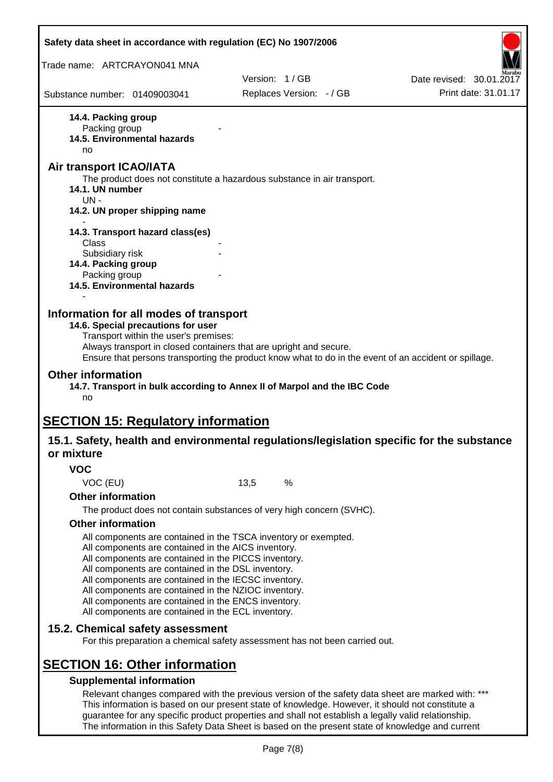|                                            | Safety data sheet in accordance with regulation (EC) No 1907/2006                                                                                                                                                                    |      |                                                                                                                                                                                                         |                                                                                                       |
|--------------------------------------------|--------------------------------------------------------------------------------------------------------------------------------------------------------------------------------------------------------------------------------------|------|---------------------------------------------------------------------------------------------------------------------------------------------------------------------------------------------------------|-------------------------------------------------------------------------------------------------------|
| Trade name: ARTCRAYON041 MNA               |                                                                                                                                                                                                                                      |      |                                                                                                                                                                                                         |                                                                                                       |
|                                            |                                                                                                                                                                                                                                      |      | Version: 1/GB                                                                                                                                                                                           | Date revised: 30.01.2017                                                                              |
| Substance number: 01409003041              |                                                                                                                                                                                                                                      |      | Replaces Version: - / GB                                                                                                                                                                                | Print date: 31.01.17                                                                                  |
| 14.4. Packing group<br>Packing group<br>no | 14.5. Environmental hazards                                                                                                                                                                                                          |      |                                                                                                                                                                                                         |                                                                                                       |
| Air transport ICAO/IATA<br>14.1. UN number |                                                                                                                                                                                                                                      |      | The product does not constitute a hazardous substance in air transport.                                                                                                                                 |                                                                                                       |
| $UN -$                                     | 14.2. UN proper shipping name                                                                                                                                                                                                        |      |                                                                                                                                                                                                         |                                                                                                       |
|                                            |                                                                                                                                                                                                                                      |      |                                                                                                                                                                                                         |                                                                                                       |
| Class                                      | 14.3. Transport hazard class(es)                                                                                                                                                                                                     |      |                                                                                                                                                                                                         |                                                                                                       |
| Subsidiary risk                            |                                                                                                                                                                                                                                      |      |                                                                                                                                                                                                         |                                                                                                       |
| 14.4. Packing group                        |                                                                                                                                                                                                                                      |      |                                                                                                                                                                                                         |                                                                                                       |
| Packing group                              | 14.5. Environmental hazards                                                                                                                                                                                                          |      |                                                                                                                                                                                                         |                                                                                                       |
| <b>Other information</b><br>no             | Transport within the user's premises:<br>Always transport in closed containers that are upright and secure.                                                                                                                          |      | 14.7. Transport in bulk according to Annex II of Marpol and the IBC Code                                                                                                                                | Ensure that persons transporting the product know what to do in the event of an accident or spillage. |
|                                            | <b>SECTION 15: Regulatory information</b>                                                                                                                                                                                            |      |                                                                                                                                                                                                         |                                                                                                       |
| or mixture                                 |                                                                                                                                                                                                                                      |      |                                                                                                                                                                                                         | 15.1. Safety, health and environmental regulations/legislation specific for the substance             |
| <b>VOC</b>                                 |                                                                                                                                                                                                                                      |      |                                                                                                                                                                                                         |                                                                                                       |
| VOC (EU)                                   |                                                                                                                                                                                                                                      | 13,5 | %                                                                                                                                                                                                       |                                                                                                       |
| <b>Other information</b>                   |                                                                                                                                                                                                                                      |      |                                                                                                                                                                                                         |                                                                                                       |
|                                            |                                                                                                                                                                                                                                      |      | The product does not contain substances of very high concern (SVHC).                                                                                                                                    |                                                                                                       |
| <b>Other information</b>                   |                                                                                                                                                                                                                                      |      |                                                                                                                                                                                                         |                                                                                                       |
|                                            | All components are contained in the TSCA inventory or exempted.<br>All components are contained in the AICS inventory.<br>All components are contained in the PICCS inventory.<br>All components are contained in the DSL inventory. |      |                                                                                                                                                                                                         |                                                                                                       |
|                                            | All components are contained in the IECSC inventory.<br>All components are contained in the NZIOC inventory.<br>All components are contained in the ENCS inventory.                                                                  |      |                                                                                                                                                                                                         |                                                                                                       |
|                                            | All components are contained in the ECL inventory.                                                                                                                                                                                   |      |                                                                                                                                                                                                         |                                                                                                       |
|                                            | 15.2. Chemical safety assessment                                                                                                                                                                                                     |      | For this preparation a chemical safety assessment has not been carried out.                                                                                                                             |                                                                                                       |
|                                            | <b>SECTION 16: Other information</b>                                                                                                                                                                                                 |      |                                                                                                                                                                                                         |                                                                                                       |
|                                            | <b>Supplemental information</b>                                                                                                                                                                                                      |      |                                                                                                                                                                                                         |                                                                                                       |
|                                            |                                                                                                                                                                                                                                      |      | This information is based on our present state of knowledge. However, it should not constitute a<br>guarantee for any specific product properties and shall not establish a legally valid relationship. | Relevant changes compared with the previous version of the safety data sheet are marked with: ***     |

The information in this Safety Data Sheet is based on the present state of knowledge and current